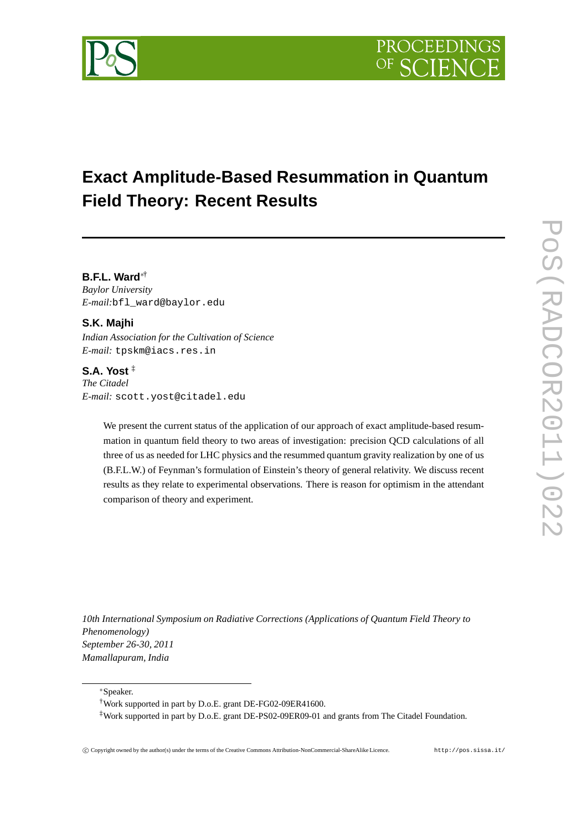# **Exact Amplitude-Based Resummation in Quantum Field Theory: Recent Results**

**B.F.L. Ward**∗† *Baylor University E-mail:*bfl\_ward@baylor.edu

# **S.K. Majhi**

*Indian Association for the Cultivation of Science E-mail:* tpskm@iacs.res.in

## **S.A. Yost** ‡

*The Citadel E-mail:* scott.yost@citadel.edu

> We present the current status of the application of our approach of exact amplitude-based resummation in quantum field theory to two areas of investigation: precision QCD calculations of all three of us as needed for LHC physics and the resummed quantum gravity realization by one of us (B.F.L.W.) of Feynman's formulation of Einstein's theory of general relativity. We discuss recent results as they relate to experimental observations. There is reason for optimism in the attendant comparison of theory and experiment.

*10th International Symposium on Radiative Corrections (Applications of Quantum Field Theory to Phenomenology) September 26-30, 2011 Mamallapuram, India*

<sup>∗</sup>Speaker.

<sup>†</sup>Work supported in part by D.o.E. grant DE-FG02-09ER41600.

<sup>‡</sup>Work supported in part by D.o.E. grant DE-PS02-09ER09-01 and grants from The Citadel Foundation.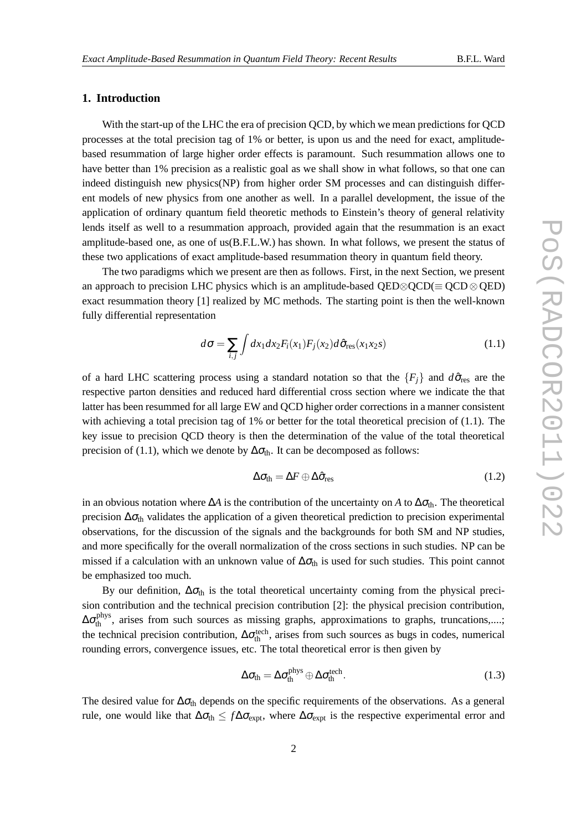## **1. Introduction**

With the start-up of the LHC the era of precision QCD, by which we mean predictions for QCD processes at the total precision tag of 1% or better, is upon us and the need for exact, amplitudebased resummation of large higher order effects is paramount. Such resummation allows one to have better than 1% precision as a realistic goal as we shall show in what follows, so that one can indeed distinguish new physics(NP) from higher order SM processes and can distinguish different models of new physics from one another as well. In a parallel development, the issue of the application of ordinary quantum field theoretic methods to Einstein's theory of general relativity lends itself as well to a resummation approach, provided again that the resummation is an exact amplitude-based one, as one of us(B.F.L.W.) has shown. In what follows, we present the status of these two applications of exact amplitude-based resummation theory in quantum field theory.

The two paradigms which we present are then as follows. First, in the next Section, we present an approach to precision LHC physics which is an amplitude-based  $OED \otimes OCD (\equiv OCD \otimes OED)$ exact resummation theory [1] realized by MC methods. The starting point is then the well-known fully differential representation

$$
d\sigma = \sum_{i,j} \int dx_1 dx_2 F_i(x_1) F_j(x_2) d\hat{\sigma}_{\text{res}}(x_1 x_2 s) \tag{1.1}
$$

of a hard LHC scattering process using a standard notation so that the  ${F_i}$  and  $d\hat{\sigma}_{res}$  are the respective parton densities and reduced hard differential cross section where we indicate the that latter has been resummed for all large EW and QCD higher order corrections in a manner consistent with achieving a total precision tag of  $1\%$  or better for the total theoretical precision of (1.1). The key issue to precision QCD theory is then the determination of the value of the total theoretical precision of (1.1), which we denote by  $\Delta\sigma_{th}$ . It can be decomposed as follows:

$$
\Delta \sigma_{\text{th}} = \Delta F \oplus \Delta \hat{\sigma}_{\text{res}}
$$
 (1.2)

in an obvious notation where  $\Delta A$  is the contribution of the uncertainty on *A* to  $\Delta \sigma_{th}$ . The theoretical precision  $\Delta \sigma_{th}$  validates the application of a given theoretical prediction to precision experimental observations, for the discussion of the signals and the backgrounds for both SM and NP studies, and more specifically for the overall normalization of the cross sections in such studies. NP can be missed if a calculation with an unknown value of  $\Delta\sigma_{th}$  is used for such studies. This point cannot be emphasized too much.

By our definition,  $\Delta \sigma_{\text{th}}$  is the total theoretical uncertainty coming from the physical precision contribution and the technical precision contribution [2]: the physical precision contribution,  $\Delta\sigma_{\text{th}}^{\text{phys}}$ , arises from such sources as missing graphs, approximations to graphs, truncations,....; the technical precision contribution,  $\Delta \sigma_{th}^{tech}$ , arises from such sources as bugs in codes, numerical rounding errors, convergence issues, etc. The total theoretical error is then given by

$$
\Delta \sigma_{th} = \Delta \sigma_{th}^{\text{phys}} \oplus \Delta \sigma_{th}^{\text{tech}}.
$$
\n(1.3)

The desired value for  $\Delta \sigma_{th}$  depends on the specific requirements of the observations. As a general rule, one would like that  $\Delta\sigma_{th} \leq f\Delta\sigma_{expt}$ , where  $\Delta\sigma_{expt}$  is the respective experimental error and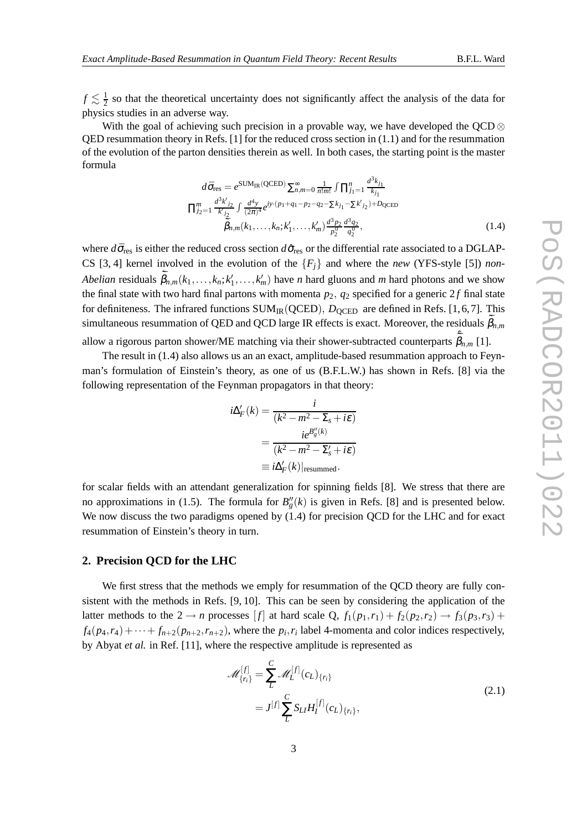$f \lesssim \frac{1}{2}$  $\frac{1}{2}$  so that the theoretical uncertainty does not significantly affect the analysis of the data for physics studies in an adverse way.

With the goal of achieving such precision in a provable way, we have developed the QCD  $\otimes$ QED resummation theory in Refs. [1] for the reduced cross section in (1.1) and for the resummation of the evolution of the parton densities therein as well. In both cases, the starting point is the master formula

$$
d\bar{\sigma}_{\text{res}} = e^{\text{SUM}_{\text{IR}}(\text{QCED})} \sum_{n,m=0}^{\infty} \frac{1}{n!m!} \int \prod_{j_1=1}^{n} \frac{d^3 k_{j_1}}{k_{j_1}}
$$

$$
\prod_{j_2=1}^{m} \frac{d^3 k'_{j_2}}{k'_{j_2}} \int \frac{d^4 y}{(2\pi)^4} e^{iy \cdot (p_1+q_1-p_2-q_2-\sum k_{j_1}-\sum k'_{j_2})+D_{\text{QCED}}}
$$

$$
\tilde{\bar{\beta}}_{n,m}(k_1,\ldots,k_n;k'_1,\ldots,k'_m) \frac{d^3 p_2}{p_2^0} \frac{d^3 q_2}{q_2^0},\tag{1.4}
$$

where  $d\bar{\sigma}_{res}$  is either the reduced cross section  $d\hat{\sigma}_{res}$  or the differential rate associated to a DGLAP-CS [3, 4] kernel involved in the evolution of the  ${F<sub>i</sub>}$  and where the *new* (YFS-style [5]) *non*-*Abelian* residuals  $\tilde{\bar{\beta}}_{n,m}(k_1,\ldots,k_n;k'_1,\ldots,k'_m)$  have *n* hard gluons and *m* hard photons and we show the final state with two hard final partons with momenta  $p_2$ ,  $q_2$  specified for a generic  $2f$  final state for definiteness. The infrared functions  $SUM_{IR}(QCED)$ ,  $D_{OCED}$  are defined in Refs. [1,6,7]. This simultaneous resummation of QED and QCD large IR effects is exact. Moreover, the residuals  $\bar{\beta}_{n,m}$ 

allow a rigorous parton shower/ME matching via their shower-subtracted counterparts  $\tilde{\bar{\beta}}_{n,m}$  [1].

The result in (1.4) also allows us an an exact, amplitude-based resummation approach to Feynman's formulation of Einstein's theory, as one of us (B.F.L.W.) has shown in Refs. [8] via the following representation of the Feynman propagators in that theory:

$$
i\Delta'_F(k) = \frac{i}{(k^2 - m^2 - \Sigma_s + i\varepsilon)}
$$
  
= 
$$
\frac{ie^{B''_g(k)}}{(k^2 - m^2 - \Sigma'_s + i\varepsilon)}
$$
  
\equiv 
$$
i\Delta'_F(k)|_{\text{resummed}}.
$$

for scalar fields with an attendant generalization for spinning fields [8]. We stress that there are no approximations in (1.5). The formula for  $B''_g(k)$  is given in Refs. [8] and is presented below. We now discuss the two paradigms opened by  $(1.4)$  for precision QCD for the LHC and for exact resummation of Einstein's theory in turn.

#### **2. Precision QCD for the LHC**

We first stress that the methods we emply for resummation of the QCD theory are fully consistent with the methods in Refs. [9, 10]. This can be seen by considering the application of the latter methods to the  $2 \rightarrow n$  processes [f] at hard scale Q,  $f_1(p_1,r_1) + f_2(p_2,r_2) \rightarrow f_3(p_3,r_3) +$  $f_4(p_4, r_4) + \cdots + f_{n+2}(p_{n+2}, r_{n+2})$ , where the  $p_i, r_i$  label 4-momenta and color indices respectively, by Abyat *et al.* in Ref. [11], where the respective amplitude is represented as

$$
\mathcal{M}_{\{r_i\}}^{[f]} = \sum_{L}^{C} \mathcal{M}_L^{[f]}(c_L)_{\{r_i\}}
$$
\n
$$
= J^{[f]} \sum_{L}^{C} S_{LI} H_I^{[f]}(c_L)_{\{r_i\}},
$$
\n(2.1)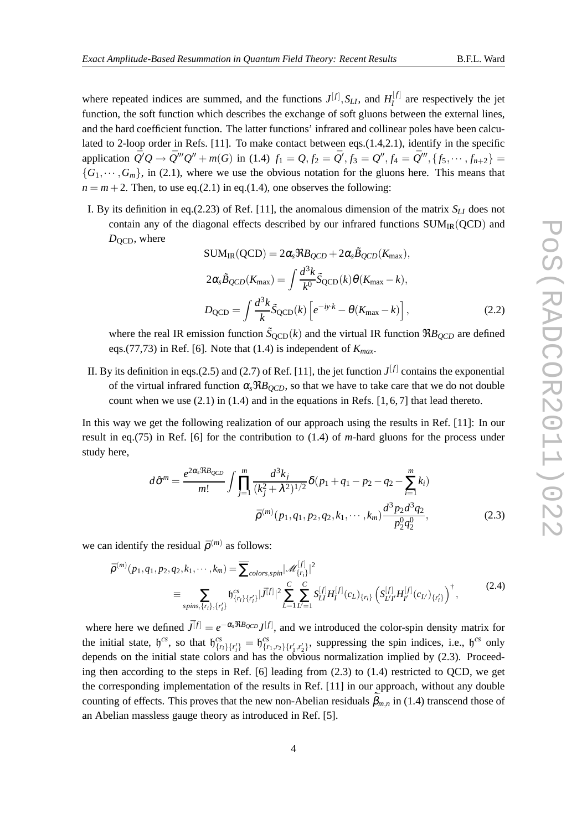where repeated indices are summed, and the functions  $J^{[f]}$ ,  $S_{LI}$ , and  $H_I^{[f]}$  $I_I^{\text{U}}$  are respectively the jet function, the soft function which describes the exchange of soft gluons between the external lines, and the hard coefficient function. The latter functions' infrared and collinear poles have been calculated to 2-loop order in Refs. [11]. To make contact between eqs.(1.4,2.1), identify in the specific application  $\bar{Q}'Q \to \bar{Q}'''Q'' + m(G)$  in (1.4)  $f_1 = Q, f_2 = \bar{Q}', f_3 = Q'', f_4 = \bar{Q}'''$ ,  $\{f_5, \dots, f_{n+2}\}$  ${G_1,\dots, G_m}$ , in (2.1), where we use the obvious notation for the gluons here. This means that  $n = m + 2$ . Then, to use eq.(2.1) in eq.(1.4), one observes the following:

I. By its definition in eq.(2.23) of Ref. [11], the anomalous dimension of the matrix  $S_{LI}$  does not contain any of the diagonal effects described by our infrared functions  $SUM_{IR}(QCD)$  and  $D<sub>QCD</sub>$ , where

$$
SUM_{IR}(QCD) = 2\alpha_s \Re B_{QCD} + 2\alpha_s \tilde{B}_{QCD}(K_{\text{max}}),
$$
  
\n
$$
2\alpha_s \tilde{B}_{QCD}(K_{\text{max}}) = \int \frac{d^3k}{k^0} \tilde{S}_{QCD}(k) \theta(K_{\text{max}} - k),
$$
  
\n
$$
D_{QCD} = \int \frac{d^3k}{k} \tilde{S}_{QCD}(k) \left[ e^{-iy \cdot k} - \theta(K_{\text{max}} - k) \right],
$$
\n(2.2)

where the real IR emission function  $\tilde{S}_{QCD}(k)$  and the virtual IR function  $\Re B_{QCD}$  are defined eqs.(77,73) in Ref. [6]. Note that (1.4) is independent of *Kmax*.

II. By its definition in eqs.(2.5) and (2.7) of Ref. [11], the jet function  $J<sup>[f]</sup>$  contains the exponential of the virtual infrared function  $\alpha_s \Re B_{QCD}$ , so that we have to take care that we do not double count when we use  $(2.1)$  in  $(1.4)$  and in the equations in Refs. [1, 6, 7] that lead thereto.

In this way we get the following realization of our approach using the results in Ref. [11]: In our result in eq.(75) in Ref. [6] for the contribution to (1.4) of *m*-hard gluons for the process under study here,

$$
d\hat{\sigma}^{m} = \frac{e^{2\alpha_{s} \Re B_{QCD}}}{m!} \int \prod_{j=1}^{m} \frac{d^{3}k_{j}}{(k_{j}^{2} + \lambda^{2})^{1/2}} \delta(p_{1} + q_{1} - p_{2} - q_{2} - \sum_{i=1}^{m} k_{i})
$$

$$
\bar{\rho}^{(m)}(p_{1}, q_{1}, p_{2}, q_{2}, k_{1}, \cdots, k_{m}) \frac{d^{3}p_{2}d^{3}q_{2}}{p_{2}^{0}q_{2}^{0}},
$$
(2.3)

we can identify the residual  $\bar{\rho}^{(m)}$  as follows:

$$
\bar{\rho}^{(m)}(p_1, q_1, p_2, q_2, k_1, \cdots, k_m) = \sum_{\text{colors}, \text{spin}} |\mathcal{M}_{\{r_i\}}^{[f]}|^2
$$
\n
$$
\equiv \sum_{\text{spins}, \{r_i\}, \{r_i'\}} b_{\{r_i\}\{r_i'\}}^{cs} |\bar{J}^{[f]}|^2 \sum_{L=1}^C \sum_{L'=1}^C S_{LI}^{[f]} H_I^{[f]}(c_L)_{\{r_i\}} \left( S_{L'I'}^{[f]} H_{I'}^{[f]}(c_{L'})_{\{r_i'\}} \right)^{\dagger}, \tag{2.4}
$$

where here we defined  $\bar{J}^{[f]} = e^{-\alpha_s \Re B_{QCD}} J^{[f]}$ , and we introduced the color-spin density matrix for the initial state,  $\mathfrak{h}^{cs}$ , so that  $\mathfrak{h}^{cs}_{\{r_i\}\{r'_i\}} = \mathfrak{h}^{cs}_{\{r_1, r_2\}\{r'_1, r'_2\}}$ , suppressing the spin indices, i.e.,  $\mathfrak{h}^{cs}$  only depends on the initial state colors and has the obvious normalization implied by (2.3). Proceeding then according to the steps in Ref. [6] leading from (2.3) to (1.4) restricted to QCD, we get the corresponding implementation of the results in Ref. [11] in our approach, without any double counting of effects. This proves that the new non-Abelian residuals  $\bar{\beta}_{m,n}$  in (1.4) transcend those of an Abelian massless gauge theory as introduced in Ref. [5].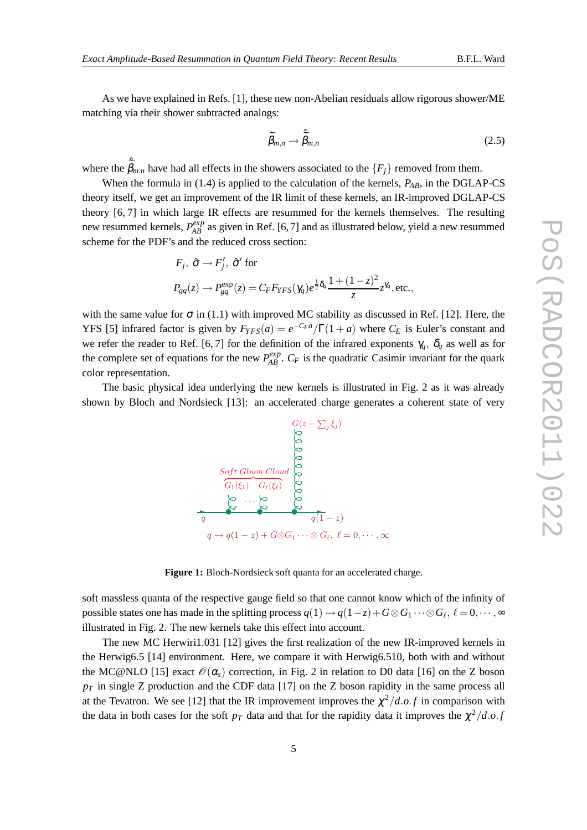As we have explained in Refs. [1], these new non-Abelian residuals allow rigorous shower/ME matching via their shower subtracted analogs:

$$
\tilde{\bar{\beta}}_{m,n} \to \hat{\bar{\beta}}_{m,n} \tag{2.5}
$$

where the  $\tilde{\bar{\beta}}_{m,n}$  have had all effects in the showers associated to the  $\{F_j\}$  removed from them.

When the formula in (1.4) is applied to the calculation of the kernels,  $P_{AB}$ , in the DGLAP-CS theory itself, we get an improvement of the IR limit of these kernels, an IR-improved DGLAP-CS theory [6, 7] in which large IR effects are resummed for the kernels themselves. The resulting new resummed kernels,  $P_{AB}^{exp}$  as given in Ref. [6, 7] and as illustrated below, yield a new resummed scheme for the PDF's and the reduced cross section:

$$
F_j, \ \hat{\sigma} \to F'_j, \ \hat{\sigma}' \text{ for}
$$
  

$$
P_{gq}(z) \to P_{gq}^{\exp}(z) = C_F F_{YFS}(\gamma_q) e^{\frac{1}{2}\delta_q} \frac{1 + (1 - z)^2}{z} z^{\gamma_q}, \text{etc.},
$$

with the same value for  $\sigma$  in (1.1) with improved MC stability as discussed in Ref. [12]. Here, the YFS [5] infrared factor is given by  $F_{YFS}(a) = e^{-C_E a}/\Gamma(1+a)$  where  $C_E$  is Euler's constant and we refer the reader to Ref. [6, 7] for the definition of the infrared exponents  $\gamma_q$ ,  $\delta_q$  as well as for the complete set of equations for the new  $P_{AB}^{exp}$ .  $C_F$  is the quadratic Casimir invariant for the quark color representation.

The basic physical idea underlying the new kernels is illustrated in Fig. 2 as it was already shown by Bloch and Nordsieck [13]: an accelerated charge generates a coherent state of very



**Figure 1:** Bloch-Nordsieck soft quanta for an accelerated charge.

soft massless quanta of the respective gauge field so that one cannot know which of the infinity of possible states one has made in the splitting process  $q(1) \to q(1-z) + G \otimes G_1 \cdots \otimes G_\ell$  ,  $\ell = 0, \cdots, \infty$ illustrated in Fig. 2. The new kernels take this effect into account.

The new MC Herwiri1.031 [12] gives the first realization of the new IR-improved kernels in the Herwig6.5 [14] environment. Here, we compare it with Herwig6.510, both with and without the MC@NLO [15] exact  $\mathcal{O}(\alpha_s)$  correction, in Fig. 2 in relation to D0 data [16] on the Z boson  $p_T$  in single Z production and the CDF data [17] on the Z boson rapidity in the same process all at the Tevatron. We see [12] that the IR improvement improves the  $\chi^2/d.o.f$  in comparison with the data in both cases for the soft  $p<sub>T</sub>$  data and that for the rapidity data it improves the  $\chi^2/d.o.f$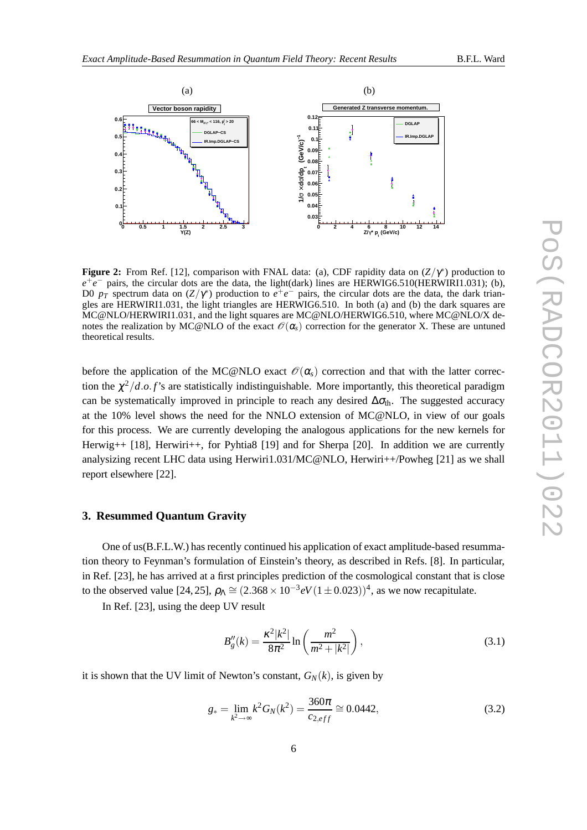

**Figure 2:** From Ref. [12], comparison with FNAL data: (a), CDF rapidity data on  $(Z/\gamma^*)$  production to  $e^+e^-$  pairs, the circular dots are the data, the light(dark) lines are HERWIG6.510(HERWIRI1.031); (b), D0  $p_T$  spectrum data on  $(Z/\gamma^*)$  production to  $e^+e^-$  pairs, the circular dots are the data, the dark triangles are HERWIRI1.031, the light triangles are HERWIG6.510. In both (a) and (b) the dark squares are MC@NLO/HERWIRI1.031, and the light squares are MC@NLO/HERWIG6.510, where MC@NLO/X denotes the realization by MC@NLO of the exact  $\mathcal{O}(\alpha_s)$  correction for the generator X. These are untuned theoretical results.

before the application of the MC@NLO exact  $\mathcal{O}(\alpha_s)$  correction and that with the latter correction the  $\chi^2/d.o.f$ 's are statistically indistinguishable. More importantly, this theoretical paradigm can be systematically improved in principle to reach any desired  $\Delta\sigma_{th}$ . The suggested accuracy at the 10% level shows the need for the NNLO extension of MC@NLO, in view of our goals for this process. We are currently developing the analogous applications for the new kernels for Herwig++ [18], Herwiri++, for Pyhtia8 [19] and for Sherpa [20]. In addition we are currently analysizing recent LHC data using Herwiri1.031/MC@NLO, Herwiri++/Powheg [21] as we shall report elsewhere [22].

### **3. Resummed Quantum Gravity**

One of us(B.F.L.W.) has recently continued his application of exact amplitude-based resummation theory to Feynman's formulation of Einstein's theory, as described in Refs. [8]. In particular, in Ref. [23], he has arrived at a first principles prediction of the cosmological constant that is close to the observed value [24, 25],  $\rho_{\Lambda} \cong (2.368 \times 10^{-3} eV(1 \pm 0.023))^{4}$ , as we now recapitulate.

In Ref. [23], using the deep UV result

$$
B_g''(k) = \frac{\kappa^2 |k^2|}{8\pi^2} \ln\left(\frac{m^2}{m^2 + |k^2|}\right),\tag{3.1}
$$

it is shown that the UV limit of Newton's constant,  $G_N(k)$ , is given by

$$
g_* = \lim_{k^2 \to \infty} k^2 G_N(k^2) = \frac{360\pi}{c_{2,eff}} \cong 0.0442,\tag{3.2}
$$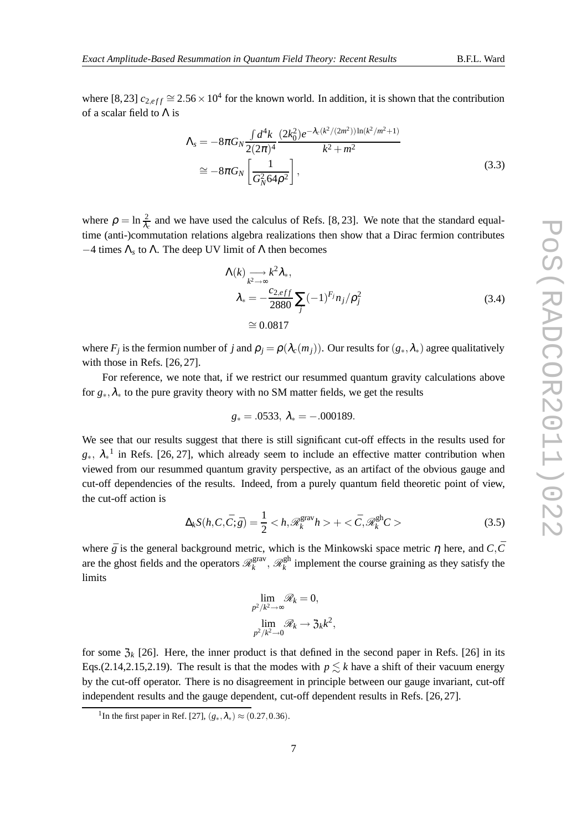where [8,23]  $c_{2,eff} \approx 2.56 \times 10^4$  for the known world. In addition, it is shown that the contribution of a scalar field to  $\Lambda$  is

$$
\Lambda_{s} = -8\pi G_{N} \frac{\int d^{4}k}{2(2\pi)^{4}} \frac{(2k_{0}^{2})e^{-\lambda_{c}(k^{2}/(2m^{2}))\ln(k^{2}/m^{2}+1)}}{k^{2}+m^{2}}
$$
\n
$$
\approx -8\pi G_{N} \left[ \frac{1}{G_{N}^{2}64\rho^{2}} \right],
$$
\n(3.3)

where  $\rho = \ln \frac{2}{\lambda_c}$  and we have used the calculus of Refs. [8, 23]. We note that the standard equaltime (anti-)commutation relations algebra realizations then show that a Dirac fermion contributes  $-4$  times  $\Lambda_s$  to  $\Lambda$ . The deep UV limit of  $\Lambda$  then becomes

$$
\Lambda(k) \longrightarrow k^2 \lambda_*,
$$
  
\n
$$
\lambda_* = -\frac{c_{2,eff}}{2880} \sum_j (-1)^{F_j} n_j / \rho_j^2
$$
  
\n
$$
\approx 0.0817
$$
\n(3.4)

where  $F_j$  is the fermion number of *j* and  $\rho_j = \rho(\lambda_c(m_j))$ . Our results for  $(g_*, \lambda_*)$  agree qualitatively with those in Refs. [26, 27].

For reference, we note that, if we restrict our resummed quantum gravity calculations above for *g*∗,λ<sup>∗</sup> to the pure gravity theory with no SM matter fields, we get the results

$$
g_* = .0533, \ \lambda_* = -.000189.
$$

We see that our results suggest that there is still significant cut-off effects in the results used for  $g_*$ ,  $\lambda_*$ <sup>1</sup> in Refs. [26, 27], which already seem to include an effective matter contribution when viewed from our resummed quantum gravity perspective, as an artifact of the obvious gauge and cut-off dependencies of the results. Indeed, from a purely quantum field theoretic point of view, the cut-off action is

$$
\Delta_k S(h, C, \bar{C}; \bar{g}) = \frac{1}{2} < h, \mathcal{R}_k^{\text{grav}} h > + <\bar{C}, \mathcal{R}_k^{\text{gh}} C > \tag{3.5}
$$

where  $\bar{g}$  is the general background metric, which is the Minkowski space metric  $\eta$  here, and  $C, \bar{C}$ are the ghost fields and the operators  $\mathcal{R}_k^{\text{grav}}$  $_{k}^{\text{grav}}, \mathscr{R}_{k}^{\text{gh}}$  $\frac{f(x)}{f(x)}$  implement the course graining as they satisfy the limits

$$
\lim_{p^2/k^2 \to \infty} \mathcal{R}_k = 0,
$$
  

$$
\lim_{p^2/k^2 \to 0} \mathcal{R}_k \to \mathfrak{Z}_k k^2,
$$

for some  $\mathfrak{Z}_k$  [26]. Here, the inner product is that defined in the second paper in Refs. [26] in its Eqs.(2.14,2.15,2.19). The result is that the modes with  $p \leq k$  have a shift of their vacuum energy by the cut-off operator. There is no disagreement in principle between our gauge invariant, cut-off independent results and the gauge dependent, cut-off dependent results in Refs. [26, 27].

<sup>&</sup>lt;sup>1</sup>In the first paper in Ref. [27],  $(g_*, \lambda_*) \approx (0.27, 0.36)$ .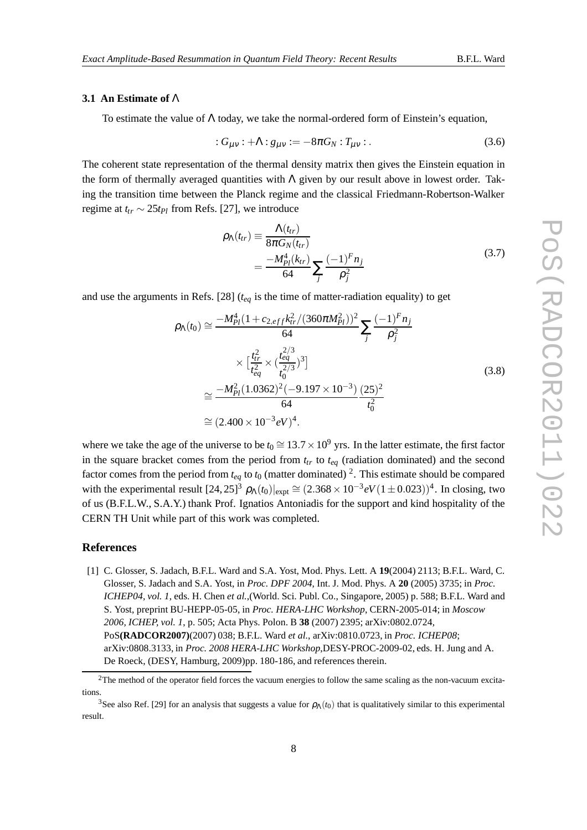## **3.1 An Estimate of** Λ

To estimate the value of  $\Lambda$  today, we take the normal-ordered form of Einstein's equation,

$$
:G_{\mu\nu}: +\Lambda: g_{\mu\nu}: = -8\pi G_N: T_{\mu\nu}: \qquad (3.6)
$$

The coherent state representation of the thermal density matrix then gives the Einstein equation in the form of thermally averaged quantities with  $\Lambda$  given by our result above in lowest order. Taking the transition time between the Planck regime and the classical Friedmann-Robertson-Walker regime at  $t_{tr} \sim 25t_{Pl}$  from Refs. [27], we introduce

$$
\rho_{\Lambda}(t_{tr}) \equiv \frac{\Lambda(t_{tr})}{8\pi G_N(t_{tr})} = \frac{-M_{Pl}^4(k_{tr})}{64} \sum_{j} \frac{(-1)^F n_j}{\rho_j^2}
$$
\n(3.7)

and use the arguments in Refs. [28]  $(t_{eq}$  is the time of matter-radiation equality) to get

$$
\rho_{\Lambda}(t_0) \approx \frac{-M_{Pl}^4 (1 + c_{2,eff} k_{tr}^2 / (360 \pi M_{Pl}^2))^2}{64} \sum_j \frac{(-1)^F n_j}{\rho_j^2} \times \left[\frac{t_{tr}^2}{t_{eq}^2} \times \left(\frac{t_{eq}^{2/3}}{t_0^2}\right)^3\right] \times \left[\frac{M_{Pl}^2}{t_{eq}^2} \times \left(\frac{t_{eq}^{2/3}}{t_0^2}\right)^3\right] \approx \frac{-M_{Pl}^2 (1.0362)^2 (-9.197 \times 10^{-3}) (25)^2}{64} \approx (2.400 \times 10^{-3} eV)^4.
$$
\n(3.8)

where we take the age of the universe to be  $t_0 \approx 13.7 \times 10^9$  yrs. In the latter estimate, the first factor in the square bracket comes from the period from  $t<sub>tr</sub>$  to  $t<sub>eq</sub>$  (radiation dominated) and the second factor comes from the period from  $t_{eq}$  to  $t_0$  (matter dominated) <sup>2</sup>. This estimate should be compared with the experimental result  $[24, 25]^3$   $\rho_{\Lambda}(t_0)|_{expt} \cong (2.368 \times 10^{-3} eV (1 \pm 0.023))^4$ . In closing, two of us (B.F.L.W., S.A.Y.) thank Prof. Ignatios Antoniadis for the support and kind hospitality of the CERN TH Unit while part of this work was completed.

#### **References**

[1] C. Glosser, S. Jadach, B.F.L. Ward and S.A. Yost, Mod. Phys. Lett. A **19**(2004) 2113; B.F.L. Ward, C. Glosser, S. Jadach and S.A. Yost, in *Proc. DPF 2004*, Int. J. Mod. Phys. A **20** (2005) 3735; in *Proc. ICHEP04, vol. 1*, eds. H. Chen *et al.*,(World. Sci. Publ. Co., Singapore, 2005) p. 588; B.F.L. Ward and S. Yost, preprint BU-HEPP-05-05, in *Proc. HERA-LHC Workshop*, CERN-2005-014; in *Moscow 2006, ICHEP, vol. 1*, p. 505; Acta Phys. Polon. B **38** (2007) 2395; arXiv:0802.0724, PoS**(RADCOR2007)**(2007) 038; B.F.L. Ward *et al.*, arXiv:0810.0723, in *Proc. ICHEP08*; arXiv:0808.3133, in *Proc. 2008 HERA-LHC Workshop*,DESY-PROC-2009-02, eds. H. Jung and A. De Roeck, (DESY, Hamburg, 2009)pp. 180-186, and references therein.

 $2$ The method of the operator field forces the vacuum energies to follow the same scaling as the non-vacuum excitations.

<sup>&</sup>lt;sup>3</sup>See also Ref. [29] for an analysis that suggests a value for  $\rho_{\Lambda}(t_0)$  that is qualitatively similar to this experimental result.